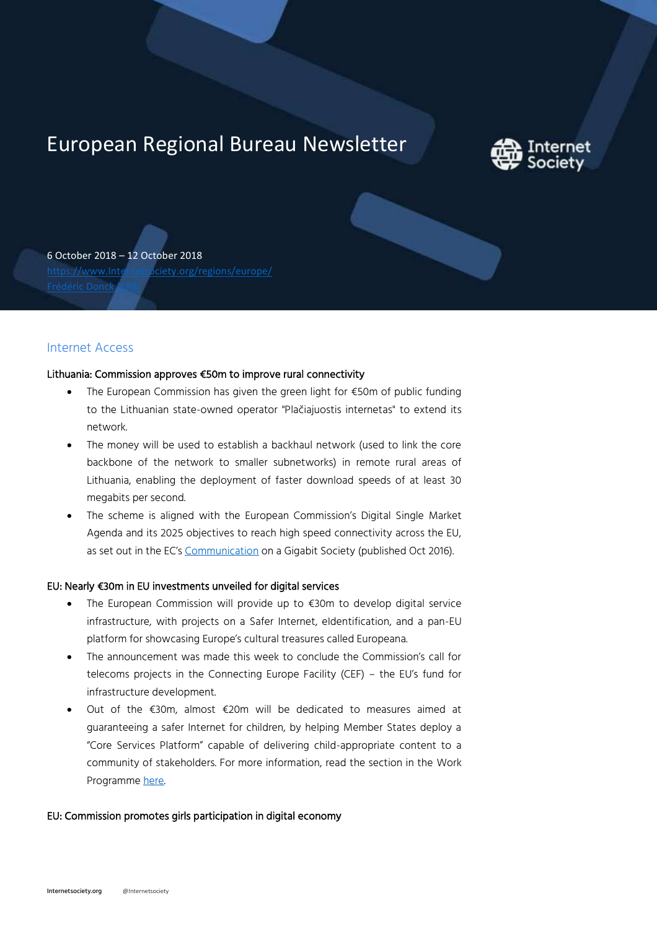# European Regional Bureau Newsletter



6 October 2018 – 12 October 2018 [https://www.Internetsociety.org/regions/europe/](https://www.internetsociety.org/regions/europe/)

## Internet Access

#### Lithuania: Commission approves €50m to improve rural connectivity

- The European Commission has given the green light for €50m of public funding to the Lithuanian state-owned operator "Plačiajuostis internetas" to extend its network.
- The money will be used to establish a backhaul network (used to link the core backbone of the network to smaller subnetworks) in remote rural areas of Lithuania, enabling the deployment of faster download speeds of at least 30 megabits per second.
- The scheme is aligned with the European Commission's Digital Single Market Agenda and its 2025 objectives to reach high speed connectivity across the EU, as set out in the EC's [Communication](https://ec.europa.eu/transparency/regdoc/rep/1/2016/EN/1-2016-587-EN-F1-1.PDF) on a Gigabit Society (published Oct 2016).

## EU: Nearly €30m in EU investments unveiled for digital services

- The European Commission will provide up to €30m to develop digital service infrastructure, with projects on a Safer Internet, eIdentification, and a pan-EU platform for showcasing Europe's cultural treasures called Europeana.
- The announcement was made this week to conclude the Commission's call for telecoms projects in the Connecting Europe Facility (CEF) – the EU's fund for infrastructure development.
- Out of the €30m, almost €20m will be dedicated to measures aimed at guaranteeing a safer Internet for children, by helping Member States deploy a "Core Services Platform" capable of delivering child-appropriate content to a community of stakeholders. For more information, read the section in the Work Programme [here.](https://ec.europa.eu/inea/sites/inea/files/annex-cef_telecom_2018_wp.pdf)

## EU: Commission promotes girls participation in digital economy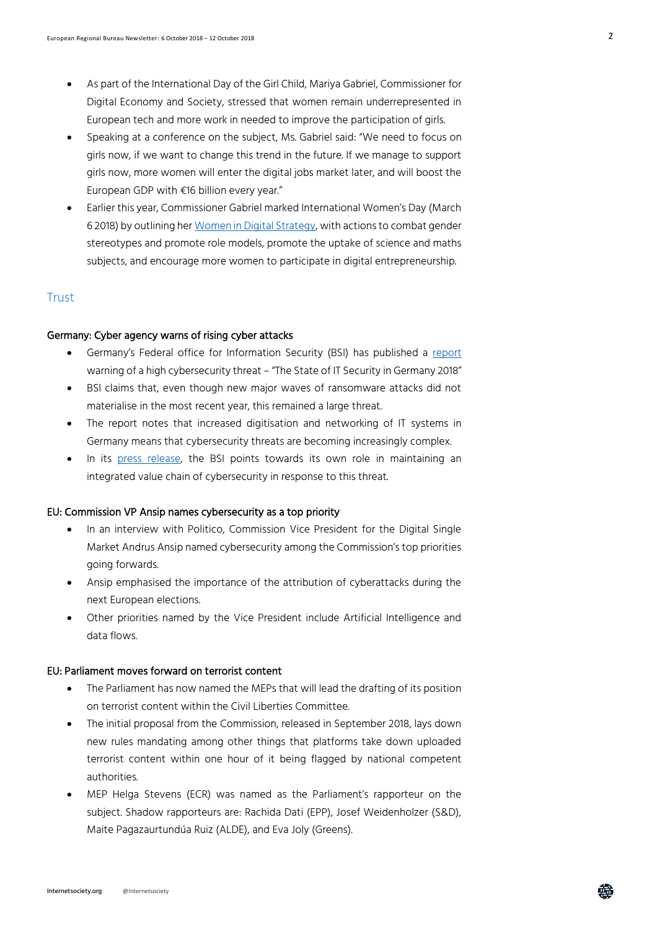- As part of the International Day of the Girl Child, Mariya Gabriel, Commissioner for Digital Economy and Society, stressed that women remain underrepresented in European tech and more work in needed to improve the participation of girls.
- Speaking at a conference on the subject, Ms. Gabriel said: "We need to focus on girls now, if we want to change this trend in the future. If we manage to support girls now, more women will enter the digital jobs market later, and will boost the European GDP with €16 billion every year."
- Earlier this year, Commissioner Gabriel marked International Women's Day (March 6 2018) by outlining he[r Women in Digital Strategy,](https://ec.europa.eu/digital-single-market/en/news/more-women-digital-sector-key-europes-successful-digital-future-international-womens-day-2018) with actions to combat gender stereotypes and promote role models, promote the uptake of science and maths subjects, and encourage more women to participate in digital entrepreneurship.

### **Trust**

#### Germany: Cyber agency warns of rising cyber attacks

- Germany's Federal office for Information Security (BSI) has published a [report](https://www.bsi.bund.de/DE/Presse/Pressemitteilungen/Presse2018/lagebericht_2018_11102018.html) warning of a high cybersecurity threat – "The State of IT Security in Germany 2018"
- BSI claims that, even though new major waves of ransomware attacks did not materialise in the most recent year, this remained a large threat.
- The report notes that increased digitisation and networking of IT systems in Germany means that cybersecurity threats are becoming increasingly complex.
- In its [press release,](https://www.bsi.bund.de/DE/Presse/Pressemitteilungen/Presse2018/lagebericht_2018_11102018.html) the BSI points towards its own role in maintaining an integrated value chain of cybersecurity in response to this threat.

#### EU: Commission VP Ansip names cybersecurity as a top priority

- In an interview with Politico, Commission Vice President for the Digital Single Market Andrus Ansip named cybersecurity among the Commission's top priorities going forwards.
- Ansip emphasised the importance of the attribution of cyberattacks during the next European elections.
- Other priorities named by the Vice President include Artificial Intelligence and data flows.

#### EU: Parliament moves forward on terrorist content

- The Parliament has now named the MEPs that will lead the drafting of its position on terrorist content within the Civil Liberties Committee.
- The initial proposal from the Commission, released in September 2018, lays down new rules mandating among other things that platforms take down uploaded terrorist content within one hour of it being flagged by national competent authorities.
- MEP Helga Stevens (ECR) was named as the Parliament's rapporteur on the subject. Shadow rapporteurs are: Rachida Dati (EPP), Josef Weidenholzer (S&D), Maite Pagazaurtundúa Ruiz (ALDE), and Eva Joly (Greens).